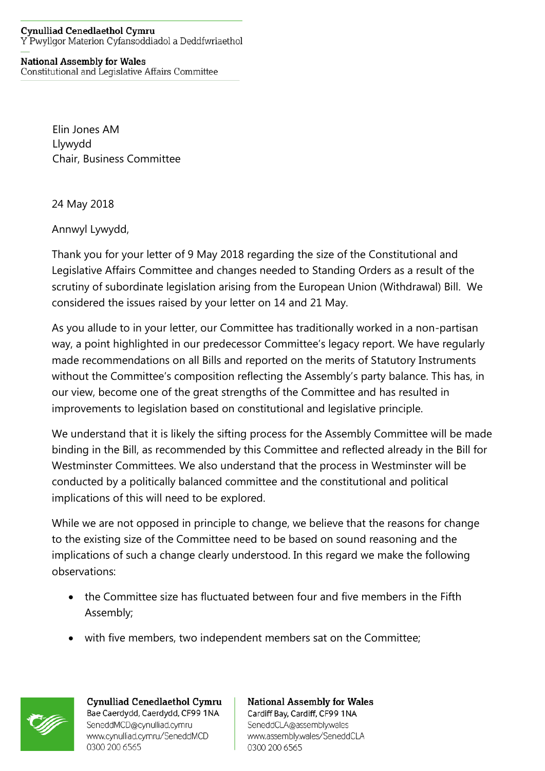## Cynulliad Cenedlaethol Cymru Y Pwyllgor Materion Cyfansoddiadol a Deddfwriaethol

## **National Assembly for Wales**

Constitutional and Legislative Affairs Committee

Elin Jones AM Llywydd Chair, Business Committee

24 May 2018

Annwyl Lywydd,

Thank you for your letter of 9 May 2018 regarding the size of the Constitutional and Legislative Affairs Committee and changes needed to Standing Orders as a result of the scrutiny of subordinate legislation arising from the European Union (Withdrawal) Bill. We considered the issues raised by your letter on 14 and 21 May.

As you allude to in your letter, our Committee has traditionally worked in a non-partisan way, a point highlighted in our predecessor Committee's legacy report. We have regularly made recommendations on all Bills and reported on the merits of Statutory Instruments without the Committee's composition reflecting the Assembly's party balance. This has, in our view, become one of the great strengths of the Committee and has resulted in improvements to legislation based on constitutional and legislative principle.

We understand that it is likely the sifting process for the Assembly Committee will be made binding in the Bill, as recommended by this Committee and reflected already in the Bill for Westminster Committees. We also understand that the process in Westminster will be conducted by a politically balanced committee and the constitutional and political implications of this will need to be explored.

While we are not opposed in principle to change, we believe that the reasons for change to the existing size of the Committee need to be based on sound reasoning and the implications of such a change clearly understood. In this regard we make the following observations:

- the Committee size has fluctuated between four and five members in the Fifth Assembly;
- with five members, two independent members sat on the Committee;



Cynulliad Cenedlaethol Cymru Bae Caerdydd, Caerdydd, CF99 1NA SeneddMCD@cynulliad.cymru www.cynulliad.cymru/SeneddMCD 0300 200 6565

**National Assembly for Wales** Cardiff Bay, Cardiff, CF99 1NA SeneddCLA@assembly.wales www.assembly.wales/SeneddCLA 0300 200 6565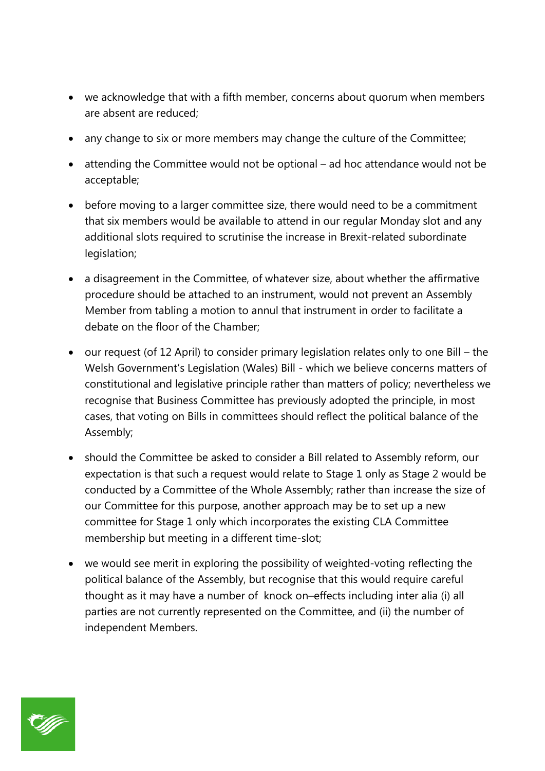- we acknowledge that with a fifth member, concerns about quorum when members are absent are reduced;
- any change to six or more members may change the culture of the Committee;
- attending the Committee would not be optional ad hoc attendance would not be acceptable;
- before moving to a larger committee size, there would need to be a commitment that six members would be available to attend in our regular Monday slot and any additional slots required to scrutinise the increase in Brexit-related subordinate legislation;
- a disagreement in the Committee, of whatever size, about whether the affirmative procedure should be attached to an instrument, would not prevent an Assembly Member from tabling a motion to annul that instrument in order to facilitate a debate on the floor of the Chamber;
- our request (of 12 April) to consider primary legislation relates only to one Bill the Welsh Government's Legislation (Wales) Bill - which we believe concerns matters of constitutional and legislative principle rather than matters of policy; nevertheless we recognise that Business Committee has previously adopted the principle, in most cases, that voting on Bills in committees should reflect the political balance of the Assembly;
- should the Committee be asked to consider a Bill related to Assembly reform, our expectation is that such a request would relate to Stage 1 only as Stage 2 would be conducted by a Committee of the Whole Assembly; rather than increase the size of our Committee for this purpose, another approach may be to set up a new committee for Stage 1 only which incorporates the existing CLA Committee membership but meeting in a different time-slot;
- we would see merit in exploring the possibility of weighted-voting reflecting the political balance of the Assembly, but recognise that this would require careful thought as it may have a number of knock on–effects including inter alia (i) all parties are not currently represented on the Committee, and (ii) the number of independent Members.